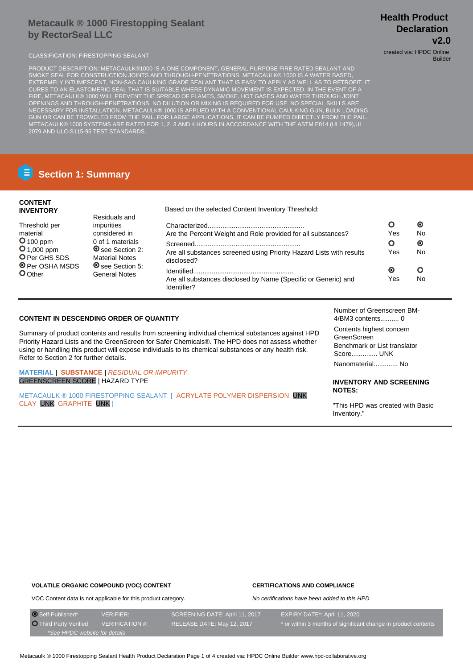# **Metacaulk ® 1000 Firestopping Sealant by RectorSeal LLC**

CLASSIFICATION: FIRESTOPPING SEALANT CLASSIFICATION: FIRESTOPPING SEALANT

PRODUCT DESCRIPTION: METACAULK®1000 IS A ONE COMPONENT, GENERAL PURPOSE FIRE RATED SEALANT AND SMOKE SEAL FOR CONSTRUCTION JOINTS AND THROUGH-PENETRATIONS. METACAULK® 1000 IS A WATER BASED, EXTREMELY INTUMESCENT, NON-SAG CAULKING GRADE SEALANT THAT IS EASY TO APPLY AS WELL AS TO RETROFIT. IT CURES TO AN ELASTOMERIC SEAL THAT IS SUITABLE WHERE DYNAMIC MOVEMENT IS EXPECTED. IN THE EVENT OF A FIRE, METACAULK® 1000 WILL PREVENT THE SPREAD OF FLAMES, SMOKE, HOT GASES AND WATER THROUGH JOINT OPENINGS AND THROUGH-PENETRATIONS. NO DILUTION OR MIXING IS REQUIRED FOR USE. NO SPECIAL SKILLS ARE NECESSARY FOR INSTALLATION. METACAULK® 1000 IS APPLIED WITH A CONVENTIONAL CAULKING GUN, BULK LOADING GUN OR CAN BE TROWELED FROM THE PAIL. FOR LARGE APPLICATIONS, IT CAN BE PUMPED DIRECTLY FROM THE PAIL. METACAULK® 1000 SYSTEMS ARE RATED FOR 1, 2, 3 AND 4 HOURS IN ACCORDANCE WITH THE ASTM E814 (UL1479),UL 2079 AND ULC-S115-95 TEST STANDARDS.

# **E** Section 1: Summary

### **CONTENT INVENTORY**

| <b>INVENIURI</b>                                           | <b>PRODUCTION</b> DURING OUTLOOK THE REPORT OF THE COLLOID.        |                                                                                    |           |           |  |
|------------------------------------------------------------|--------------------------------------------------------------------|------------------------------------------------------------------------------------|-----------|-----------|--|
| Threshold per                                              | Residuals and<br>impurities                                        |                                                                                    |           | O)        |  |
| material                                                   | considered in                                                      | Are the Percent Weight and Role provided for all substances?                       | Yes       | No        |  |
| $O$ 100 ppm                                                | 0 of 1 materials                                                   |                                                                                    |           | $\bullet$ |  |
| $O_{1,000}$ ppm<br>O Per GHS SDS<br><b>O</b> Per OSHA MSDS | <b>O</b> see Section 2:<br><b>Material Notes</b><br>See Section 5: | Are all substances screened using Priority Hazard Lists with results<br>disclosed? | Yes       | No        |  |
| <b>O</b> Other                                             |                                                                    |                                                                                    | $\bullet$ |           |  |
|                                                            | <b>General Notes</b>                                               | Are all substances disclosed by Name (Specific or Generic) and<br>Identifier?      | Yes       | No.       |  |

Based on the selected Content Inventory Threshold:

### **CONTENT IN DESCENDING ORDER OF QUANTITY**

Summary of product contents and results from screening individual chemical substances against HPD Priority Hazard Lists and the GreenScreen for Safer Chemicals®. The HPD does not assess whether using or handling this product will expose individuals to its chemical substances or any health risk. Refer to Section 2 for further details.

### **MATERIAL | SUBSTANCE |** RESIDUAL OR IMPURITY GREENSCREEN SCORE | HAZARD TYPE

METACAULK ® 1000 FIRESTOPPING SEALANT [ ACRYLATE POLYMER DISPERSION UNK CLAY UNK GRAPHITE UNK ]

Number of Greenscreen BM-4/BM3 contents.......... 0

Contents highest concern GreenScreen Benchmark or List translator Score.............. UNK Nanomaterial............. No

### **INVENTORY AND SCREENING NOTES:**

"This HPD was created with Basic Inventory."

```
VOLATILE ORGANIC COMPOUND (VOC) CONTENT
VOC Content data is not applicable for this product category.
```
# **CERTIFICATIONS AND COMPLIANCE**

No certifications have been added to this HPD.

| O Self-Published*             | <b>VERIFIER:</b>       | SCREENING DATE: April 11, 2017 | EXPIRY DATE*: April 11, 2020                                   |
|-------------------------------|------------------------|--------------------------------|----------------------------------------------------------------|
| <b>O</b> Third Party Verified | <b>VERIFICATION #:</b> | RELEASE DATE: May 12, 2017     | * or within 3 months of significant change in product contents |
| *See HPDC website for details |                        |                                |                                                                |

# **Health Product Declaration v2.0**

Builder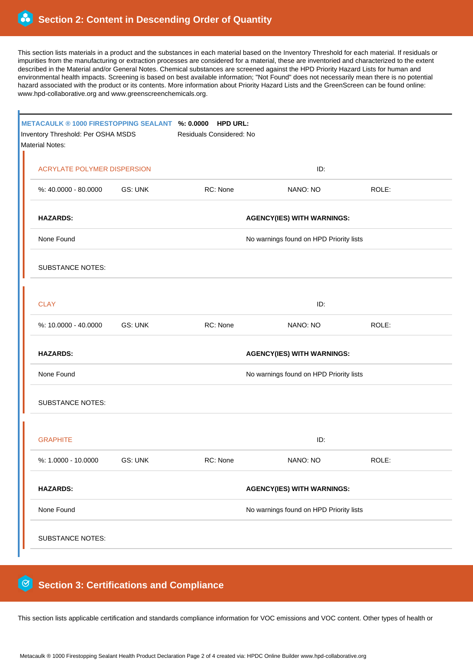This section lists materials in a product and the substances in each material based on the Inventory Threshold for each material. If residuals or impurities from the manufacturing or extraction processes are considered for a material, these are inventoried and characterized to the extent described in the Material and/or General Notes. Chemical substances are screened against the HPD Priority Hazard Lists for human and environmental health impacts. Screening is based on best available information; "Not Found" does not necessarily mean there is no potential hazard associated with the product or its contents. More information about Priority Hazard Lists and the GreenScreen can be found online: www.hpd-collaborative.org and www.greenscreenchemicals.org.

| METACAULK ® 1000 FIRESTOPPING SEALANT %: 0.0000<br><b>HPD URL:</b><br>Inventory Threshold: Per OSHA MSDS<br>Residuals Considered: No<br>Material Notes: |                                         |          |                                         |       |  |  |  |
|---------------------------------------------------------------------------------------------------------------------------------------------------------|-----------------------------------------|----------|-----------------------------------------|-------|--|--|--|
| <b>ACRYLATE POLYMER DISPERSION</b>                                                                                                                      |                                         | ID:      |                                         |       |  |  |  |
| %: 40.0000 - 80.0000                                                                                                                                    | GS: UNK                                 | RC: None | NANO: NO                                | ROLE: |  |  |  |
| <b>HAZARDS:</b>                                                                                                                                         | <b>AGENCY(IES) WITH WARNINGS:</b>       |          |                                         |       |  |  |  |
| None Found                                                                                                                                              | No warnings found on HPD Priority lists |          |                                         |       |  |  |  |
| <b>SUBSTANCE NOTES:</b>                                                                                                                                 |                                         |          |                                         |       |  |  |  |
| <b>CLAY</b>                                                                                                                                             |                                         |          | ID:                                     |       |  |  |  |
| %: 10.0000 - 40.0000                                                                                                                                    | <b>GS: UNK</b>                          | RC: None | NANO: NO                                | ROLE: |  |  |  |
| <b>HAZARDS:</b>                                                                                                                                         | <b>AGENCY(IES) WITH WARNINGS:</b>       |          |                                         |       |  |  |  |
| None Found                                                                                                                                              | No warnings found on HPD Priority lists |          |                                         |       |  |  |  |
| <b>SUBSTANCE NOTES:</b>                                                                                                                                 |                                         |          |                                         |       |  |  |  |
| <b>GRAPHITE</b>                                                                                                                                         |                                         |          | ID:                                     |       |  |  |  |
| %: 1.0000 - 10.0000                                                                                                                                     | <b>GS: UNK</b>                          | RC: None | NANO: NO                                | ROLE: |  |  |  |
| <b>HAZARDS:</b>                                                                                                                                         |                                         |          | <b>AGENCY(IES) WITH WARNINGS:</b>       |       |  |  |  |
| None Found                                                                                                                                              |                                         |          | No warnings found on HPD Priority lists |       |  |  |  |
| <b>SUBSTANCE NOTES:</b>                                                                                                                                 |                                         |          |                                         |       |  |  |  |

#### 0  **Section 3: Certifications and Compliance**

This section lists applicable certification and standards compliance information for VOC emissions and VOC content. Other types of health or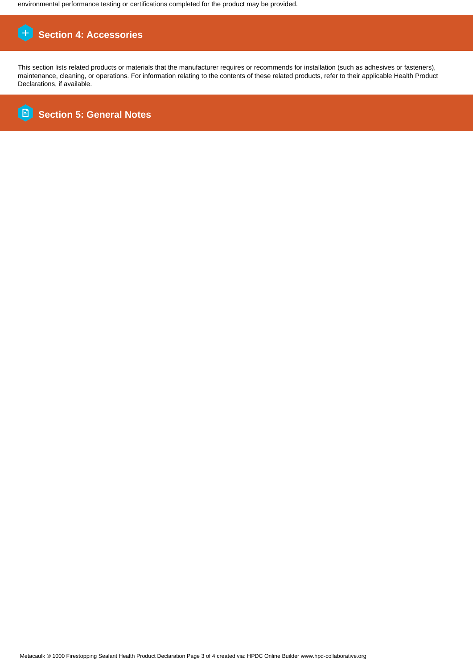environmental performance testing or certifications completed for the product may be provided.

# **Section 4: Accessories**

This section lists related products or materials that the manufacturer requires or recommends for installation (such as adhesives or fasteners), maintenance, cleaning, or operations. For information relating to the contents of these related products, refer to their applicable Health Product Declarations, if available.

**B Section 5: General Notes**